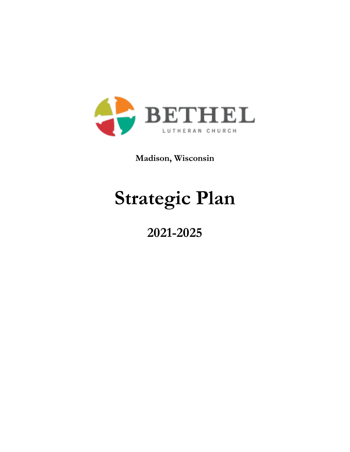

**Madison, Wisconsin**

# **Strategic Plan**

# **2021-2025**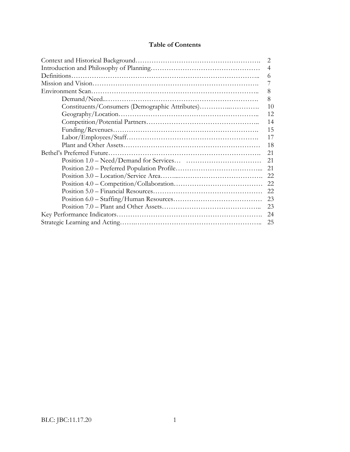#### **Table of Contents**

| 2                                               |    |  |  |
|-------------------------------------------------|----|--|--|
| $\overline{4}$                                  |    |  |  |
| 6                                               |    |  |  |
|                                                 |    |  |  |
| 8                                               |    |  |  |
| 8                                               |    |  |  |
| Constituents/Consumers (Demographic Attributes) | 10 |  |  |
|                                                 | 12 |  |  |
|                                                 | 14 |  |  |
|                                                 | 15 |  |  |
|                                                 | 17 |  |  |
|                                                 | 18 |  |  |
|                                                 | 21 |  |  |
|                                                 | 21 |  |  |
|                                                 | 21 |  |  |
|                                                 | 22 |  |  |
|                                                 |    |  |  |
|                                                 | 22 |  |  |
|                                                 | 23 |  |  |
|                                                 | 23 |  |  |
|                                                 | 24 |  |  |
|                                                 |    |  |  |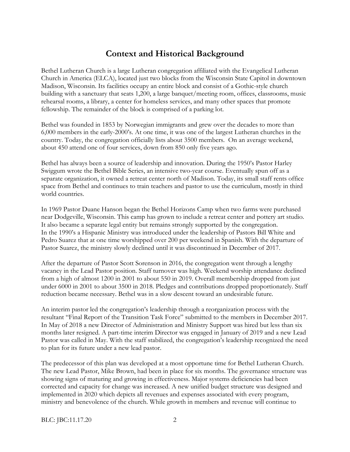### **Context and Historical Background**

Bethel Lutheran Church is a large Lutheran congregation affiliated with the Evangelical Lutheran Church in America (ELCA), located just two blocks from the Wisconsin State Capitol in downtown Madison, Wisconsin. Its facilities occupy an entire block and consist of a Gothic-style church building with a sanctuary that seats 1,200, a large banquet/meeting room, offices, classrooms, music rehearsal rooms, a library, a center for homeless services, and many other spaces that promote fellowship. The remainder of the block is comprised of a parking lot.

Bethel was founded in 1853 by Norwegian immigrants and grew over the decades to more than 6,000 members in the early-2000's. At one time, it was one of the largest Lutheran churches in the country. Today, the congregation officially lists about 3500 members. On an average weekend, about 450 attend one of four services, down from 850 only five years ago.

Bethel has always been a source of leadership and innovation. During the 1950's Pastor Harley Swiggum wrote the Bethel Bible Series, an intensive two-year course. Eventually spun off as a separate organization, it owned a retreat center north of Madison. Today, its small staff rents office space from Bethel and continues to train teachers and pastor to use the curriculum, mostly in third world countries.

In 1969 Pastor Duane Hanson began the Bethel Horizons Camp when two farms were purchased near Dodgeville, Wisconsin. This camp has grown to include a retreat center and pottery art studio. It also became a separate legal entity but remains strongly supported by the congregation. In the 1990's a Hispanic Ministry was introduced under the leadership of Pastors Bill White and Pedro Suarez that at one time worshipped over 200 per weekend in Spanish. With the departure of Pastor Suarez, the ministry slowly declined until it was discontinued in December of 2017.

After the departure of Pastor Scott Sorenson in 2016, the congregation went through a lengthy vacancy in the Lead Pastor position. Staff turnover was high. Weekend worship attendance declined from a high of almost 1200 in 2001 to about 550 in 2019. Overall membership dropped from just under 6000 in 2001 to about 3500 in 2018. Pledges and contributions dropped proportionately. Staff reduction became necessary. Bethel was in a slow descent toward an undesirable future.

An interim pastor led the congregation's leadership through a reorganization process with the resultant "Final Report of the Transition Task Force" submitted to the members in December 2017. In May of 2018 a new Director of Administration and Ministry Support was hired but less than six months later resigned. A part-time interim Director was engaged in January of 2019 and a new Lead Pastor was called in May. With the staff stabilized, the congregation's leadership recognized the need to plan for its future under a new lead pastor.

The predecessor of this plan was developed at a most opportune time for Bethel Lutheran Church. The new Lead Pastor, Mike Brown, had been in place for six months. The governance structure was showing signs of maturing and growing in effectiveness. Major systems deficiencies had been corrected and capacity for change was increased. A new unified budget structure was designed and implemented in 2020 which depicts all revenues and expenses associated with every program, ministry and benevolence of the church. While growth in members and revenue will continue to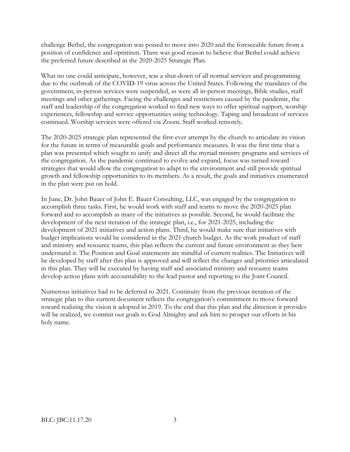challenge Bethel, the congregation was poised to move into 2020 and the foreseeable future from a position of confidence and optimism. There was good reason to believe that Bethel could achieve the preferred future described in the 2020-2025 Strategic Plan.

What no one could anticipate, however, was a shut-down of all normal services and programming due to the outbreak of the COVID-19 virus across the United States. Following the mandates of the government, in-person services were suspended, as were all in-person meetings, Bible studies, staff meetings and other gatherings. Facing the challenges and restrictions caused by the pandemic, the staff and leadership of the congregation worked to find new ways to offer spiritual support, worship experiences, fellowship and service opportunities using technology. Taping and broadcast of services continued. Worship services were offered via Zoom. Staff worked remotely.

The 2020-2025 strategic plan represented the first-ever attempt by the church to articulate its vision for the future in terms of measurable goals and performance measures. It was the first time that a plan was presented which sought to unify and direct all the myriad ministry programs and services of the congregation. As the pandemic continued to evolve and expand, focus was turned toward strategies that would allow the congregation to adapt to the environment and still provide spiritual growth and fellowship opportunities to its members. As a result, the goals and initiatives enumerated in the plan were put on hold.

In June, Dr. John Bauer of John E. Bauer Consulting, LLC, was engaged by the congregation to accomplish three tasks. First, he would work with staff and teams to move the 2020-2025 plan forward and to accomplish as many of the initiatives as possible. Second, he would facilitate the development of the next iteration of the strategic plan, i.e., for 2021-2025, including the development of 2021 initiatives and action plans. Third, he would make sure that initiatives with budget implications would be considered in the 2021 church budget. As the work product of staff and ministry and resource teams, this plan reflects the current and future environment as they best understand it. The Position and Goal statements are mindful of current realities. The Initiatives will be developed by staff after this plan is approved and will reflect the changes and priorities articulated in this plan. They will be executed by having staff and associated ministry and resource teams develop action plans with accountability to the lead pastor and reporting to the Joint Council.

Numerous initiatives had to be deferred to 2021. Continuity from the previous iteration of the strategic plan to this current document reflects the congregation's commitment to move forward toward realizing the vision it adopted in 2019. To the end that this plan and the direction it provides will be realized, we commit our goals to God Almighty and ask him to prosper our efforts in his holy name.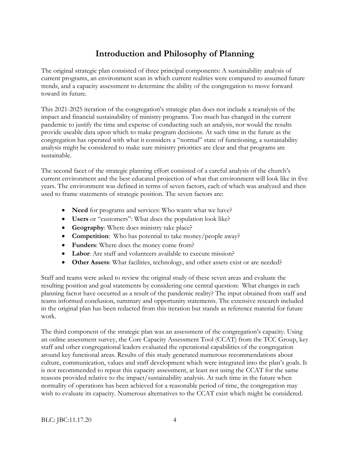# **Introduction and Philosophy of Planning**

The original strategic plan consisted of three principal components: A sustainability analysis of current programs, an environment scan in which current realities were compared to assumed future trends, and a capacity assessment to determine the ability of the congregation to move forward toward its future.

This 2021-2025 iteration of the congregation's strategic plan does not include a reanalysis of the impact and financial sustainability of ministry programs. Too much has changed in the current pandemic to justify the time and expense of conducting such an analysis, nor would the results provide useable data upon which to make program decisions. At such time in the future as the congregation has operated with what it considers a "normal" state of functioning, a sustainability analysis might be considered to make sure ministry priorities are clear and that programs are sustainable.

The second facet of the strategic planning effort consisted of a careful analysis of the church's current environment and the best educated projection of what that environment will look like in five years. The environment was defined in terms of seven factors, each of which was analyzed and then used to frame statements of strategic position. The seven factors are:

- **Need** for programs and services: Who wants what we have?
- **Users** or "customers": What does the population look like?
- **Geography**: Where does ministry take place?
- **Competition**: Who has potential to take money/people away?
- **Funders**: Where does the money come from?
- **Labor**: Are staff and volunteers available to execute mission?
- **Other Assets**: What facilities, technology, and other assets exist or are needed?

Staff and teams were asked to review the original study of these seven areas and evaluate the resulting position and goal statements by considering one central question: What changes in each planning factor have occurred as a result of the pandemic reality? The input obtained from staff and teams informed conclusion, summary and opportunity statements. The extensive research included in the original plan has been redacted from this iteration but stands as reference material for future work.

The third component of the strategic plan was an assessment of the congregation's capacity. Using an online assessment survey, the Core Capacity Assessment Tool (CCAT) from the TCC Group, key staff and other congregational leaders evaluated the operational capabilities of the congregation around key functional areas. Results of this study generated numerous recommendations about culture, communication, values and staff development which were integrated into the plan's goals. It is not recommended to repeat this capacity assessment, at least not using the CCAT for the same reasons provided relative to the impact/sustainability analysis. At such time in the future when normality of operations has been achieved for a reasonable period of time, the congregation may wish to evaluate its capacity. Numerous alternatives to the CCAT exist which might be considered.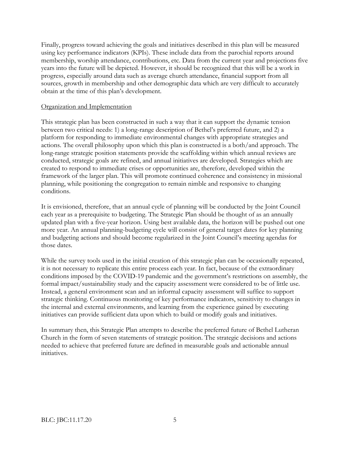Finally, progress toward achieving the goals and initiatives described in this plan will be measured using key performance indicators (KPIs). These include data from the parochial reports around membership, worship attendance, contributions, etc. Data from the current year and projections five years into the future will be depicted. However, it should be recognized that this will be a work in progress, especially around data such as average church attendance, financial support from all sources, growth in membership and other demographic data which are very difficult to accurately obtain at the time of this plan's development.

#### Organization and Implementation

This strategic plan has been constructed in such a way that it can support the dynamic tension between two critical needs: 1) a long-range description of Bethel's preferred future, and 2) a platform for responding to immediate environmental changes with appropriate strategies and actions. The overall philosophy upon which this plan is constructed is a both/and approach. The long-range strategic position statements provide the scaffolding within which annual reviews are conducted, strategic goals are refined, and annual initiatives are developed. Strategies which are created to respond to immediate crises or opportunities are, therefore, developed within the framework of the larger plan. This will promote continued coherence and consistency in missional planning, while positioning the congregation to remain nimble and responsive to changing conditions.

It is envisioned, therefore, that an annual cycle of planning will be conducted by the Joint Council each year as a prerequisite to budgeting. The Strategic Plan should be thought of as an annually updated plan with a five-year horizon. Using best available data, the horizon will be pushed out one more year. An annual planning-budgeting cycle will consist of general target dates for key planning and budgeting actions and should become regularized in the Joint Council's meeting agendas for those dates.

While the survey tools used in the initial creation of this strategic plan can be occasionally repeated, it is not necessary to replicate this entire process each year. In fact, because of the extraordinary conditions imposed by the COVID-19 pandemic and the government's restrictions on assembly, the formal impact/sustainability study and the capacity assessment were considered to be of little use. Instead, a general environment scan and an informal capacity assessment will suffice to support strategic thinking. Continuous monitoring of key performance indicators, sensitivity to changes in the internal and external environments, and learning from the experience gained by executing initiatives can provide sufficient data upon which to build or modify goals and initiatives.

In summary then, this Strategic Plan attempts to describe the preferred future of Bethel Lutheran Church in the form of seven statements of strategic position. The strategic decisions and actions needed to achieve that preferred future are defined in measurable goals and actionable annual initiatives.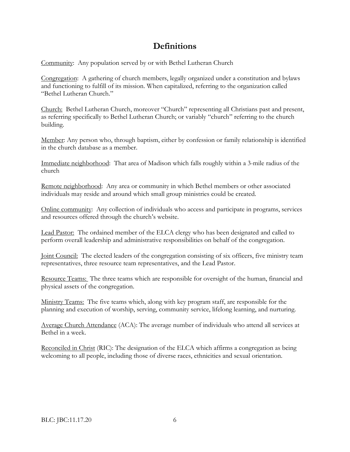# **Definitions**

Community: Any population served by or with Bethel Lutheran Church

Congregation: A gathering of church members, legally organized under a constitution and bylaws and functioning to fulfill of its mission. When capitalized, referring to the organization called "Bethel Lutheran Church."

Church: Bethel Lutheran Church, moreover "Church" representing all Christians past and present, as referring specifically to Bethel Lutheran Church; or variably "church" referring to the church building.

Member: Any person who, through baptism, either by confession or family relationship is identified in the church database as a member.

Immediate neighborhood: That area of Madison which falls roughly within a 3-mile radius of the church

Remote neighborhood: Any area or community in which Bethel members or other associated individuals may reside and around which small group ministries could be created.

Online community: Any collection of individuals who access and participate in programs, services and resources offered through the church's website.

Lead Pastor: The ordained member of the ELCA clergy who has been designated and called to perform overall leadership and administrative responsibilities on behalf of the congregation.

Joint Council: The elected leaders of the congregation consisting of six officers, five ministry team representatives, three resource team representatives, and the Lead Pastor.

Resource Teams: The three teams which are responsible for oversight of the human, financial and physical assets of the congregation.

Ministry Teams: The five teams which, along with key program staff, are responsible for the planning and execution of worship, serving, community service, lifelong learning, and nurturing.

Average Church Attendance (ACA): The average number of individuals who attend all services at Bethel in a week.

Reconciled in Christ (RIC): The designation of the ELCA which affirms a congregation as being welcoming to all people, including those of diverse races, ethnicities and sexual orientation.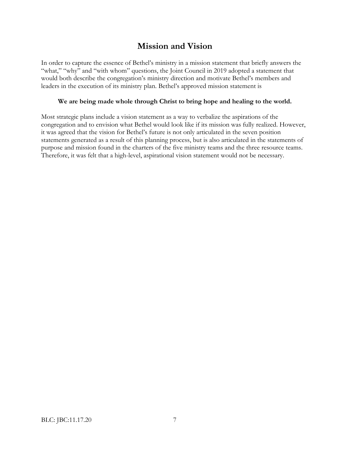# **Mission and Vision**

In order to capture the essence of Bethel's ministry in a mission statement that briefly answers the "what," "why" and "with whom" questions, the Joint Council in 2019 adopted a statement that would both describe the congregation's ministry direction and motivate Bethel's members and leaders in the execution of its ministry plan. Bethel's approved mission statement is

#### **We are being made whole through Christ to bring hope and healing to the world.**

Most strategic plans include a vision statement as a way to verbalize the aspirations of the congregation and to envision what Bethel would look like if its mission was fully realized. However, it was agreed that the vision for Bethel's future is not only articulated in the seven position statements generated as a result of this planning process, but is also articulated in the statements of purpose and mission found in the charters of the five ministry teams and the three resource teams. Therefore, it was felt that a high-level, aspirational vision statement would not be necessary.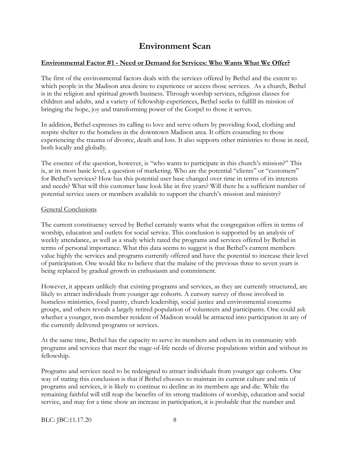### **Environment Scan**

#### **Environmental Factor #1 - Need or Demand for Services: Who Wants What We Offer?**

The first of the environmental factors deals with the services offered by Bethel and the extent to which people in the Madison area desire to experience or access those services. As a church, Bethel is in the religion and spiritual growth business. Through worship services, religious classes for children and adults, and a variety of fellowship experiences, Bethel seeks to fulfill its mission of bringing the hope, joy and transforming power of the Gospel to those it serves.

In addition, Bethel expresses its calling to love and serve others by providing food, clothing and respite shelter to the homeless in the downtown Madison area. It offers counseling to those experiencing the trauma of divorce, death and loss. It also supports other ministries to those in need, both locally and globally.

The essence of the question, however, is "who wants to participate in this church's mission?" This is, at its most basic level, a question of marketing. Who are the potential "clients" or "customers" for Bethel's services? How has this potential user base changed over time in terms of its interests and needs? What will this customer base look like in five years? Will there be a sufficient number of potential service users or members available to support the church's mission and ministry?

#### General Conclusions

The current constituency served by Bethel certainly wants what the congregation offers in terms of worship, education and outlets for social service. This conclusion is supported by an analysis of weekly attendance, as well as a study which rated the programs and services offered by Bethel in terms of personal importance. What this data seems to suggest is that Bethel's current members value highly the services and programs currently offered and have the potential to increase their level of participation. One would like to believe that the malaise of the previous three to seven years is being replaced by gradual growth in enthusiasm and commitment.

However, it appears unlikely that existing programs and services, as they are currently structured, are likely to attract individuals from younger age cohorts. A cursory survey of those involved in homeless ministries, food pantry, church leadership, social justice and environmental concerns groups, and others reveals a largely retired population of volunteers and participants. One could ask whether a younger, non-member resident of Madison would be attracted into participation in any of the currently delivered programs or services.

At the same time, Bethel has the capacity to serve its members and others in its community with programs and services that meet the stage-of-life needs of diverse populations within and without its fellowship.

Programs and services need to be redesigned to attract individuals from younger age cohorts. One way of stating this conclusion is that if Bethel chooses to maintain its current culture and mix of programs and services, it is likely to continue to decline as its members age and die. While the remaining faithful will still reap the benefits of its strong traditions of worship, education and social service, and may for a time show an increase in participation, it is probable that the number and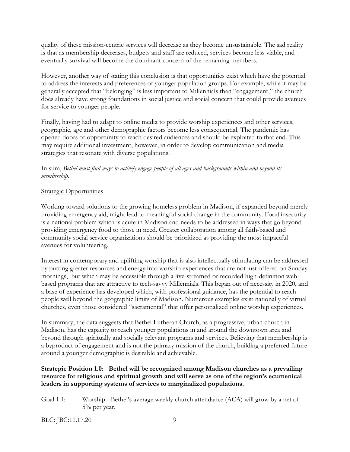quality of these mission-centric services will decrease as they become unsustainable. The sad reality is that as membership decreases, budgets and staff are reduced, services become less viable, and eventually survival will become the dominant concern of the remaining members.

However, another way of stating this conclusion is that opportunities exist which have the potential to address the interests and preferences of younger population groups. For example, while it may be generally accepted that "belonging" is less important to Millennials than "engagement," the church does already have strong foundations in social justice and social concern that could provide avenues for service to younger people.

Finally, having had to adapt to online media to provide worship experiences and other services, geographic, age and other demographic factors become less consequential. The pandemic has opened doors of opportunity to reach desired audiences and should be exploited to that end. This may require additional investment, however, in order to develop communication and media strategies that resonate with diverse populations.

In sum, *Bethel must find ways to actively engage people of all ages and backgrounds within and beyond its membership.*

#### Strategic Opportunities

Working toward solutions to the growing homeless problem in Madison, if expanded beyond merely providing emergency aid, might lead to meaningful social change in the community. Food insecurity is a national problem which is acute in Madison and needs to be addressed in ways that go beyond providing emergency food to those in need. Greater collaboration among all faith-based and community social service organizations should be prioritized as providing the most impactful avenues for volunteering.

Interest in contemporary and uplifting worship that is also intellectually stimulating can be addressed by putting greater resources and energy into worship experiences that are not just offered on Sunday mornings, but which may be accessible through a live-streamed or recorded high-definition webbased programs that are attractive to tech-savvy Millennials. This began out of necessity in 2020, and a base of experience has developed which, with professional guidance, has the potential to reach people well beyond the geographic limits of Madison. Numerous examples exist nationally of virtual churches, even those considered "sacramental" that offer personalized online worship experiences.

In summary, the data suggests that Bethel Lutheran Church, as a progressive, urban church in Madison, has the capacity to reach younger populations in and around the downtown area and beyond through spiritually and socially relevant programs and services. Believing that membership is a byproduct of engagement and is not the primary mission of the church, building a preferred future around a younger demographic is desirable and achievable.

#### **Strategic Position 1.0: Bethel will be recognized among Madison churches as a prevailing resource for religious and spiritual growth and will serve as one of the region's ecumenical leaders in supporting systems of services to marginalized populations.**

Goal 1.1: Worship - Bethel's average weekly church attendance (ACA) will grow by a net of 5% per year.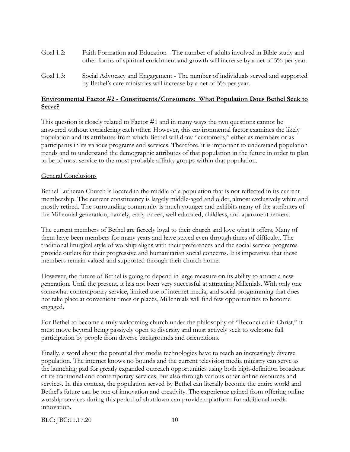- Goal 1.2: Faith Formation and Education The number of adults involved in Bible study and other forms of spiritual enrichment and growth will increase by a net of 5% per year.
- Goal 1.3: Social Advocacy and Engagement The number of individuals served and supported by Bethel's care ministries will increase by a net of 5% per year.

#### **Environmental Factor #2 - Constituents/Consumers: What Population Does Bethel Seek to Serve?**

This question is closely related to Factor #1 and in many ways the two questions cannot be answered without considering each other. However, this environmental factor examines the likely population and its attributes from which Bethel will draw "customers," either as members or as participants in its various programs and services. Therefore, it is important to understand population trends and to understand the demographic attributes of that population in the future in order to plan to be of most service to the most probable affinity groups within that population.

#### General Conclusions

Bethel Lutheran Church is located in the middle of a population that is not reflected in its current membership. The current constituency is largely middle-aged and older, almost exclusively white and mostly retired. The surrounding community is much younger and exhibits many of the attributes of the Millennial generation, namely, early career, well educated, childless, and apartment renters.

The current members of Bethel are fiercely loyal to their church and love what it offers. Many of them have been members for many years and have stayed even through times of difficulty. The traditional liturgical style of worship aligns with their preferences and the social service programs provide outlets for their progressive and humanitarian social concerns. It is imperative that these members remain valued and supported through their church home.

However, the future of Bethel is going to depend in large measure on its ability to attract a new generation. Until the present, it has not been very successful at attracting Millenials. With only one somewhat contemporary service, limited use of internet media, and social programming that does not take place at convenient times or places, Millennials will find few opportunities to become engaged.

For Bethel to become a truly welcoming church under the philosophy of "Reconciled in Christ," it must move beyond being passively open to diversity and must actively seek to welcome full participation by people from diverse backgrounds and orientations.

Finally, a word about the potential that media technologies have to reach an increasingly diverse population. The internet knows no bounds and the current television media ministry can serve as the launching pad for greatly expanded outreach opportunities using both high-definition broadcast of its traditional and contemporary services, but also through various other online resources and services. In this context, the population served by Bethel can literally become the entire world and Bethel's future can be one of innovation and creativity. The experience gained from offering online worship services during this period of shutdown can provide a platform for additional media innovation.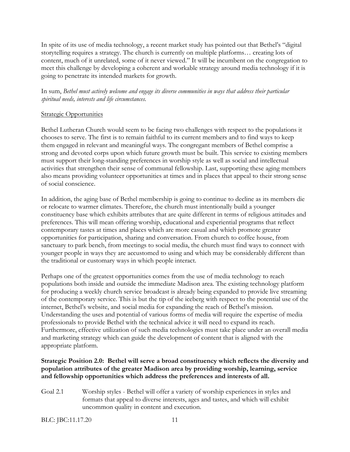In spite of its use of media technology, a recent market study has pointed out that Bethel's "digital storytelling requires a strategy. The church is currently on multiple platforms… creating lots of content, much of it unrelated, some of it never viewed." It will be incumbent on the congregation to meet this challenge by developing a coherent and workable strategy around media technology if it is going to penetrate its intended markets for growth.

In sum, *Bethel must actively welcome and engage its diverse communities in ways that address their particular spiritual needs, interests and life circumstances.*

#### **Strategic Opportunities**

Bethel Lutheran Church would seem to be facing two challenges with respect to the populations it chooses to serve. The first is to remain faithful to its current members and to find ways to keep them engaged in relevant and meaningful ways. The congregant members of Bethel comprise a strong and devoted corps upon which future growth must be built. This service to existing members must support their long-standing preferences in worship style as well as social and intellectual activities that strengthen their sense of communal fellowship. Last, supporting these aging members also means providing volunteer opportunities at times and in places that appeal to their strong sense of social conscience.

In addition, the aging base of Bethel membership is going to continue to decline as its members die or relocate to warmer climates. Therefore, the church must intentionally build a younger constituency base which exhibits attributes that are quite different in terms of religious attitudes and preferences. This will mean offering worship, educational and experiential programs that reflect contemporary tastes at times and places which are more casual and which promote greater opportunities for participation, sharing and conversation. From church to coffee house, from sanctuary to park bench, from meetings to social media, the church must find ways to connect with younger people in ways they are accustomed to using and which may be considerably different than the traditional or customary ways in which people interact.

Perhaps one of the greatest opportunities comes from the use of media technology to reach populations both inside and outside the immediate Madison area. The existing technology platform for producing a weekly church service broadcast is already being expanded to provide live streaming of the contemporary service. This is but the tip of the iceberg with respect to the potential use of the internet, Bethel's website, and social media for expanding the reach of Bethel's mission. Understanding the uses and potential of various forms of media will require the expertise of media professionals to provide Bethel with the technical advice it will need to expand its reach. Furthermore, effective utilization of such media technologies must take place under an overall media and marketing strategy which can guide the development of content that is aligned with the appropriate platform.

#### **Strategic Position 2.0: Bethel will serve a broad constituency which reflects the diversity and population attributes of the greater Madison area by providing worship, learning, service and fellowship opportunities which address the preferences and interests of all.**

Goal 2.1 Worship styles - Bethel will offer a variety of worship experiences in styles and formats that appeal to diverse interests, ages and tastes, and which will exhibit uncommon quality in content and execution.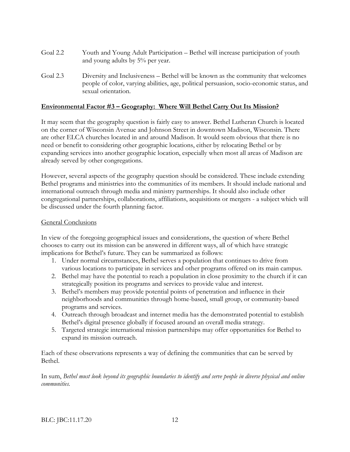- Goal 2.2 Youth and Young Adult Participation Bethel will increase participation of youth and young adults by 5% per year.
- Goal 2.3 Diversity and Inclusiveness Bethel will be known as the community that welcomes people of color, varying abilities, age, political persuasion, socio-economic status, and sexual orientation.

#### **Environmental Factor #3 – Geography: Where Will Bethel Carry Out Its Mission?**

It may seem that the geography question is fairly easy to answer. Bethel Lutheran Church is located on the corner of Wisconsin Avenue and Johnson Street in downtown Madison, Wisconsin. There are other ELCA churches located in and around Madison. It would seem obvious that there is no need or benefit to considering other geographic locations, either by relocating Bethel or by expanding services into another geographic location, especially when most all areas of Madison are already served by other congregations.

However, several aspects of the geography question should be considered. These include extending Bethel programs and ministries into the communities of its members. It should include national and international outreach through media and ministry partnerships. It should also include other congregational partnerships, collaborations, affiliations, acquisitions or mergers - a subject which will be discussed under the fourth planning factor.

#### General Conclusions

In view of the foregoing geographical issues and considerations, the question of where Bethel chooses to carry out its mission can be answered in different ways, all of which have strategic implications for Bethel's future. They can be summarized as follows:

- 1. Under normal circumstances, Bethel serves a population that continues to drive from various locations to participate in services and other programs offered on its main campus.
- 2. Bethel may have the potential to reach a population in close proximity to the church if it can strategically position its programs and services to provide value and interest.
- 3. Bethel's members may provide potential points of penetration and influence in their neighborhoods and communities through home-based, small group, or community-based programs and services.
- 4. Outreach through broadcast and internet media has the demonstrated potential to establish Bethel's digital presence globally if focused around an overall media strategy.
- 5. Targeted strategic international mission partnerships may offer opportunities for Bethel to expand its mission outreach.

Each of these observations represents a way of defining the communities that can be served by Bethel.

In sum, *Bethel must look beyond its geographic boundaries to identify and serve people in diverse physical and online communities.*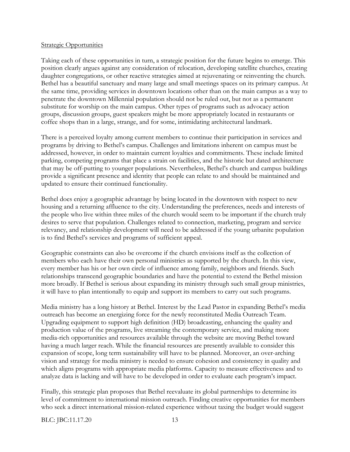#### Strategic Opportunities

Taking each of these opportunities in turn, a strategic position for the future begins to emerge. This position clearly argues against any consideration of relocation, developing satellite churches, creating daughter congregations, or other reactive strategies aimed at rejuvenating or reinventing the church. Bethel has a beautiful sanctuary and many large and small meetings spaces on its primary campus. At the same time, providing services in downtown locations other than on the main campus as a way to penetrate the downtown Millennial population should not be ruled out, but not as a permanent substitute for worship on the main campus. Other types of programs such as advocacy action groups, discussion groups, guest speakers might be more appropriately located in restaurants or coffee shops than in a large, strange, and for some, intimidating architectural landmark.

There is a perceived loyalty among current members to continue their participation in services and programs by driving to Bethel's campus. Challenges and limitations inherent on campus must be addressed, however, in order to maintain current loyalties and commitments. These include limited parking, competing programs that place a strain on facilities, and the historic but dated architecture that may be off-putting to younger populations. Nevertheless, Bethel's church and campus buildings provide a significant presence and identity that people can relate to and should be maintained and updated to ensure their continued functionality.

Bethel does enjoy a geographic advantage by being located in the downtown with respect to new housing and a returning affluence to the city. Understanding the preferences, needs and interests of the people who live within three miles of the church would seem to be important if the church truly desires to serve that population. Challenges related to connection, marketing, program and service relevancy, and relationship development will need to be addressed if the young urbanite population is to find Bethel's services and programs of sufficient appeal.

Geographic constraints can also be overcome if the church envisions itself as the collection of members who each have their own personal ministries as supported by the church. In this view, every member has his or her own circle of influence among family, neighbors and friends. Such relationships transcend geographic boundaries and have the potential to extend the Bethel mission more broadly. If Bethel is serious about expanding its ministry through such small group ministries, it will have to plan intentionally to equip and support its members to carry out such programs.

Media ministry has a long history at Bethel. Interest by the Lead Pastor in expanding Bethel's media outreach has become an energizing force for the newly reconstituted Media Outreach Team. Upgrading equipment to support high definition (HD) broadcasting, enhancing the quality and production value of the programs, live streaming the contemporary service, and making more media-rich opportunities and resources available through the website are moving Bethel toward having a much larger reach. While the financial resources are presently available to consider this expansion of scope, long term sustainability will have to be planned. Moreover, an over-arching vision and strategy for media ministry is needed to ensure cohesion and consistency in quality and which aligns programs with appropriate media platforms. Capacity to measure effectiveness and to analyze data is lacking and will have to be developed in order to evaluate each program's impact.

Finally, this strategic plan proposes that Bethel reevaluate its global partnerships to determine its level of commitment to international mission outreach. Finding creative opportunities for members who seek a direct international mission-related experience without taxing the budget would suggest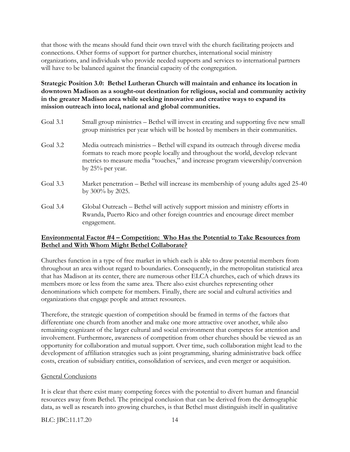that those with the means should fund their own travel with the church facilitating projects and connections. Other forms of support for partner churches, international social ministry organizations, and individuals who provide needed supports and services to international partners will have to be balanced against the financial capacity of the congregation.

**Strategic Position 3.0: Bethel Lutheran Church will maintain and enhance its location in downtown Madison as a sought-out destination for religious, social and community activity in the greater Madison area while seeking innovative and creative ways to expand its mission outreach into local, national and global communities.**

- Goal 3.1 Small group ministries Bethel will invest in creating and supporting five new small group ministries per year which will be hosted by members in their communities. Goal 3.2 Media outreach ministries – Bethel will expand its outreach through diverse media formats to reach more people locally and throughout the world, develop relevant metrics to measure media "touches," and increase program viewership/conversion by 25% per year. Goal 3.3 Market penetration – Bethel will increase its membership of young adults aged 25-40 by 300% by 2025.
- Goal 3.4 Global Outreach Bethel will actively support mission and ministry efforts in Rwanda, Puerto Rico and other foreign countries and encourage direct member engagement.

#### **Environmental Factor #4 – Competition: Who Has the Potential to Take Resources from Bethel and With Whom Might Bethel Collaborate?**

Churches function in a type of free market in which each is able to draw potential members from throughout an area without regard to boundaries. Consequently, in the metropolitan statistical area that has Madison at its center, there are numerous other ELCA churches, each of which draws its members more or less from the same area. There also exist churches representing other denominations which compete for members. Finally, there are social and cultural activities and organizations that engage people and attract resources.

Therefore, the strategic question of competition should be framed in terms of the factors that differentiate one church from another and make one more attractive over another, while also remaining cognizant of the larger cultural and social environment that competes for attention and involvement. Furthermore, awareness of competition from other churches should be viewed as an opportunity for collaboration and mutual support. Over time, such collaboration might lead to the development of affiliation strategies such as joint programming, sharing administrative back office costs, creation of subsidiary entities, consolidation of services, and even merger or acquisition.

#### General Conclusions

It is clear that there exist many competing forces with the potential to divert human and financial resources away from Bethel. The principal conclusion that can be derived from the demographic data, as well as research into growing churches, is that Bethel must distinguish itself in qualitative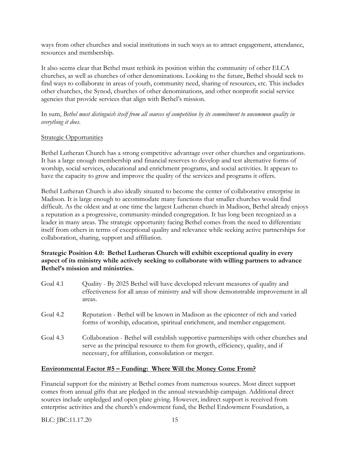ways from other churches and social institutions in such ways as to attract engagement, attendance, resources and membership.

It also seems clear that Bethel must rethink its position within the community of other ELCA churches, as well as churches of other denominations. Looking to the future, Bethel should seek to find ways to collaborate in areas of youth, community need, sharing of resources, etc. This includes other churches, the Synod, churches of other denominations, and other nonprofit social service agencies that provide services that align with Bethel's mission.

In sum, *Bethel must distinguish itself from all sources of competition by its commitment to uncommon quality in everything it does*.

#### Strategic Opportunities

Bethel Lutheran Church has a strong competitive advantage over other churches and organizations. It has a large enough membership and financial reserves to develop and test alternative forms of worship, social services, educational and enrichment programs, and social activities. It appears to have the capacity to grow and improve the quality of the services and programs it offers.

Bethel Lutheran Church is also ideally situated to become the center of collaborative enterprise in Madison. It is large enough to accommodate many functions that smaller churches would find difficult. As the oldest and at one time the largest Lutheran church in Madison, Bethel already enjoys a reputation as a progressive, community-minded congregation. It has long been recognized as a leader in many areas. The strategic opportunity facing Bethel comes from the need to differentiate itself from others in terms of exceptional quality and relevance while seeking active partnerships for collaboration, sharing, support and affiliation.

#### **Strategic Position 4.0: Bethel Lutheran Church will exhibit exceptional quality in every aspect of its ministry while actively seeking to collaborate with willing partners to advance Bethel's mission and ministries.**

| Goal 4.1 | Quality - By 2025 Bethel will have developed relevant measures of quality and<br>effectiveness for all areas of ministry and will show demonstrable improvement in all<br>areas.                                                 |
|----------|----------------------------------------------------------------------------------------------------------------------------------------------------------------------------------------------------------------------------------|
| Goal 4.2 | Reputation - Bethel will be known in Madison as the epicenter of rich and varied<br>forms of worship, education, spiritual enrichment, and member engagement.                                                                    |
| Goal 4.3 | Collaboration - Bethel will establish supportive partnerships with other churches and<br>serve as the principal resource to them for growth, efficiency, quality, and if<br>necessary, for affiliation, consolidation or merger. |

#### **Environmental Factor #5 – Funding: Where Will the Money Come From?**

Financial support for the ministry at Bethel comes from numerous sources. Most direct support comes from annual gifts that are pledged in the annual stewardship campaign. Additional direct sources include unpledged and open plate giving. However, indirect support is received from enterprise activities and the church's endowment fund, the Bethel Endowment Foundation, a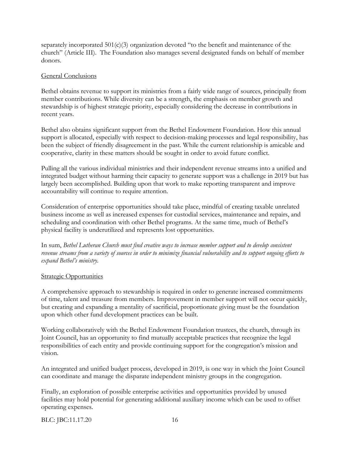separately incorporated  $501(c)(3)$  organization devoted "to the benefit and maintenance of the church" (Article III). The Foundation also manages several designated funds on behalf of member donors.

#### General Conclusions

Bethel obtains revenue to support its ministries from a fairly wide range of sources, principally from member contributions. While diversity can be a strength, the emphasis on member growth and stewardship is of highest strategic priority, especially considering the decrease in contributions in recent years.

Bethel also obtains significant support from the Bethel Endowment Foundation. How this annual support is allocated, especially with respect to decision-making processes and legal responsibility, has been the subject of friendly disagreement in the past. While the current relationship is amicable and cooperative, clarity in these matters should be sought in order to avoid future conflict.

Pulling all the various individual ministries and their independent revenue streams into a unified and integrated budget without harming their capacity to generate support was a challenge in 2019 but has largely been accomplished. Building upon that work to make reporting transparent and improve accountability will continue to require attention.

Consideration of enterprise opportunities should take place, mindful of creating taxable unrelated business income as well as increased expenses for custodial services, maintenance and repairs, and scheduling and coordination with other Bethel programs. At the same time, much of Bethel's physical facility is underutilized and represents lost opportunities.

In sum, *Bethel Lutheran Church must find creative ways to increase member support and to develop consistent revenue streams from a variety of sources in order to minimize financial vulnerability and to support ongoing efforts to expand Bethel's ministry.*

#### Strategic Opportunities

A comprehensive approach to stewardship is required in order to generate increased commitments of time, talent and treasure from members. Improvement in member support will not occur quickly, but creating and expanding a mentality of sacrificial, proportionate giving must be the foundation upon which other fund development practices can be built.

Working collaboratively with the Bethel Endowment Foundation trustees, the church, through its Joint Council, has an opportunity to find mutually acceptable practices that recognize the legal responsibilities of each entity and provide continuing support for the congregation's mission and vision.

An integrated and unified budget process, developed in 2019, is one way in which the Joint Council can coordinate and manage the disparate independent ministry groups in the congregation.

Finally, an exploration of possible enterprise activities and opportunities provided by unused facilities may hold potential for generating additional auxiliary income which can be used to offset operating expenses.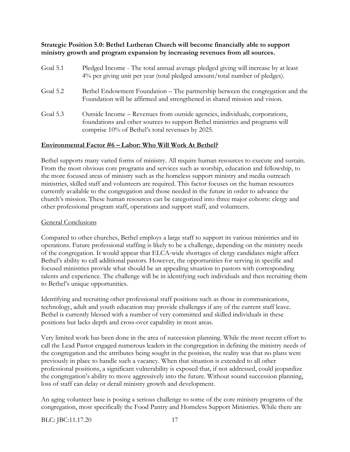#### **Strategic Position 5.0: Bethel Lutheran Church will become financially able to support ministry growth and program expansion by increasing revenues from all sources.**

| Goal 5.1   | Pledged Income - The total annual average pledged giving will increase by at least<br>4% per giving unit per year (total pledged amount/total number of pledges).                                               |
|------------|-----------------------------------------------------------------------------------------------------------------------------------------------------------------------------------------------------------------|
| Goal 5.2   | Bethel Endowment Foundation – The partnership between the congregation and the<br>Foundation will be affirmed and strengthened in shared mission and vision.                                                    |
| Goal $5.3$ | Outside Income - Revenues from outside agencies, individuals, corporations,<br>foundations and other sources to support Bethel ministries and programs will<br>comprise 10% of Bethel's total revenues by 2025. |

#### **Environmental Factor #6 – Labor: Who Will Work At Bethel?**

Bethel supports many varied forms of ministry. All require human resources to execute and sustain. From the most obvious core programs and services such as worship, education and fellowship, to the more focused areas of ministry such as the homeless support ministry and media outreach ministries, skilled staff and volunteers are required. This factor focuses on the human resources currently available to the congregation and those needed in the future in order to advance the church's mission. These human resources can be categorized into three major cohorts: clergy and other professional program staff, operations and support staff, and volunteers.

#### General Conclusions

Compared to other churches, Bethel employs a large staff to support its various ministries and its operations. Future professional staffing is likely to be a challenge, depending on the ministry needs of the congregation. It would appear that ELCA-wide shortages of clergy candidates might affect Bethel's ability to call additional pastors. However, the opportunities for serving in specific and focused ministries provide what should be an appealing situation to pastors with corresponding talents and experience. The challenge will be in identifying such individuals and then recruiting them to Bethel's unique opportunities.

Identifying and recruiting other professional staff positions such as those in communications, technology, adult and youth education may provide challenges if any of the current staff leave. Bethel is currently blessed with a number of very committed and skilled individuals in these positions but lacks depth and cross-over capability in most areas.

Very limited work has been done in the area of succession planning. While the most recent effort to call the Lead Pastor engaged numerous leaders in the congregation in defining the ministry needs of the congregation and the attributes being sought in the position, the reality was that no plans were previously in place to handle such a vacancy. When that situation is extended to all other professional positions, a significant vulnerability is exposed that, if not addressed, could jeopardize the congregation's ability to move aggressively into the future. Without sound succession planning, loss of staff can delay or derail ministry growth and development.

An aging volunteer base is posing a serious challenge to some of the core ministry programs of the congregation, most specifically the Food Pantry and Homeless Support Ministries. While there are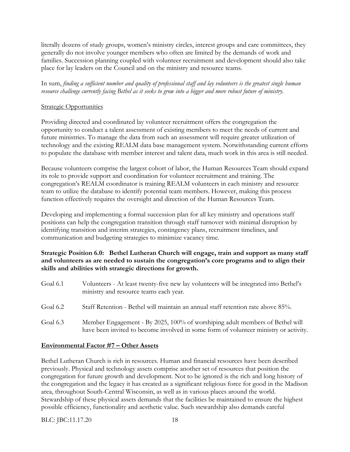literally dozens of study groups, women's ministry circles, interest groups and care committees, they generally do not involve younger members who often are limited by the demands of work and families. Succession planning coupled with volunteer recruitment and development should also take place for lay leaders on the Council and on the ministry and resource teams.

In sum, *finding a sufficient number and quality of professional staff and lay volunteers is the greatest single human resource challenge currently facing Bethel as it seeks to grow into a bigger and more robust future of ministry.*

#### Strategic Opportunities

Providing directed and coordinated lay volunteer recruitment offers the congregation the opportunity to conduct a talent assessment of existing members to meet the needs of current and future ministries. To manage the data from such an assessment will require greater utilization of technology and the existing REALM data base management system. Notwithstanding current efforts to populate the database with member interest and talent data, much work in this area is still needed.

Because volunteers comprise the largest cohort of labor, the Human Resources Team should expand its role to provide support and coordination for volunteer recruitment and training. The congregation's REALM coordinator is training REALM volunteers in each ministry and resource team to utilize the database to identify potential team members. However, making this process function effectively requires the oversight and direction of the Human Resources Team.

Developing and implementing a formal succession plan for all key ministry and operations staff positions can help the congregation transition through staff turnover with minimal disruption by identifying transition and interim strategies, contingency plans, recruitment timelines, and communication and budgeting strategies to minimize vacancy time.

#### **Strategic Position 6.0: Bethel Lutheran Church will engage, train and support as many staff and volunteers as are needed to sustain the congregation's core programs and to align their skills and abilities with strategic directions for growth.**

| Goal 6.1 | Volunteers - At least twenty-five new lay volunteers will be integrated into Bethel's<br>ministry and resource teams each year.                                      |
|----------|----------------------------------------------------------------------------------------------------------------------------------------------------------------------|
| Goal 6.2 | Staff Retention - Bethel will maintain an annual staff retention rate above 85%.                                                                                     |
| Goal 6.3 | Member Engagement - By 2025, 100% of worshiping adult members of Bethel will<br>have been invited to become involved in some form of volunteer ministry or activity. |

#### **Environmental Factor #7 – Other Assets**

Bethel Lutheran Church is rich in resources. Human and financial resources have been described previously. Physical and technology assets comprise another set of resources that position the congregation for future growth and development. Not to be ignored is the rich and long history of the congregation and the legacy it has created as a significant religious force for good in the Madison area, throughout South-Central Wisconsin, as well as in various places around the world. Stewardship of these physical assets demands that the facilities be maintained to ensure the highest possible efficiency, functionality and aesthetic value. Such stewardship also demands careful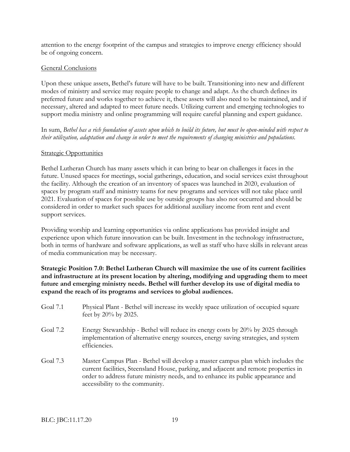attention to the energy footprint of the campus and strategies to improve energy efficiency should be of ongoing concern.

#### General Conclusions

Upon these unique assets, Bethel's future will have to be built. Transitioning into new and different modes of ministry and service may require people to change and adapt. As the church defines its preferred future and works together to achieve it, these assets will also need to be maintained, and if necessary, altered and adapted to meet future needs. Utilizing current and emerging technologies to support media ministry and online programming will require careful planning and expert guidance.

In sum, *Bethel has a rich foundation of assets upon which to build its future, but must be open-minded with respect to their utilization, adaptation and change in order to meet the requirements of changing ministries and populations.*

#### **Strategic Opportunities**

Bethel Lutheran Church has many assets which it can bring to bear on challenges it faces in the future. Unused spaces for meetings, social gatherings, education, and social services exist throughout the facility. Although the creation of an inventory of spaces was launched in 2020, evaluation of spaces by program staff and ministry teams for new programs and services will not take place until 2021. Evaluation of spaces for possible use by outside groups has also not occurred and should be considered in order to market such spaces for additional auxiliary income from rent and event support services.

Providing worship and learning opportunities via online applications has provided insight and experience upon which future innovation can be built. Investment in the technology infrastructure, both in terms of hardware and software applications, as well as staff who have skills in relevant areas of media communication may be necessary.

**Strategic Position 7.0: Bethel Lutheran Church will maximize the use of its current facilities and infrastructure at its present location by altering, modifying and upgrading them to meet future and emerging ministry needs. Bethel will further develop its use of digital media to expand the reach of its programs and services to global audiences.**

- Goal 7.1 Physical Plant Bethel will increase its weekly space utilization of occupied square feet by 20% by 2025.
- Goal 7.2 Energy Stewardship Bethel will reduce its energy costs by 20% by 2025 through implementation of alternative energy sources, energy saving strategies, and system efficiencies.
- Goal 7.3 Master Campus Plan Bethel will develop a master campus plan which includes the current facilities, Steensland House, parking, and adjacent and remote properties in order to address future ministry needs, and to enhance its public appearance and accessibility to the community.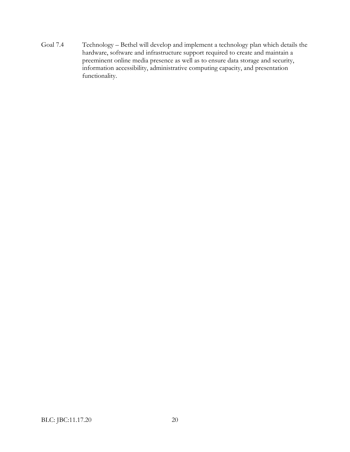Goal 7.4 Technology – Bethel will develop and implement a technology plan which details the hardware, software and infrastructure support required to create and maintain a preeminent online media presence as well as to ensure data storage and security, information accessibility, administrative computing capacity, and presentation functionality.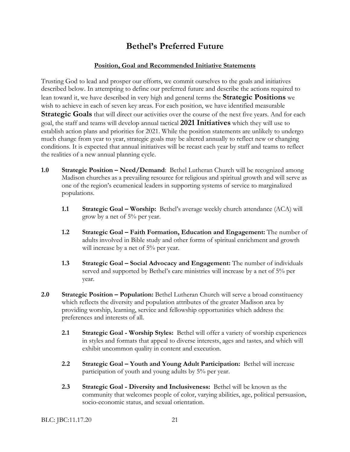# **Bethel's Preferred Future**

#### **Position, Goal and Recommended Initiative Statements**

Trusting God to lead and prosper our efforts, we commit ourselves to the goals and initiatives described below. In attempting to define our preferred future and describe the actions required to lean toward it, we have described in very high and general terms the **Strategic Positions** we wish to achieve in each of seven key areas. For each position, we have identified measurable **Strategic Goals** that will direct our activities over the course of the next five years. And for each goal, the staff and teams will develop annual tactical **2021 Initiatives** which they will use to establish action plans and priorities for 2021. While the position statements are unlikely to undergo much change from year to year, strategic goals may be altered annually to reflect new or changing conditions. It is expected that annual initiatives will be recast each year by staff and teams to reflect the realities of a new annual planning cycle.

- **1.0 Strategic Position – Need/Demand**: Bethel Lutheran Church will be recognized among Madison churches as a prevailing resource for religious and spiritual growth and will serve as one of the region's ecumenical leaders in supporting systems of service to marginalized populations.
	- **1.1 Strategic Goal – Worship:** Bethel's average weekly church attendance (ACA) will grow by a net of 5% per year.
	- **1.2 Strategic Goal – Faith Formation, Education and Engagement:** The number of adults involved in Bible study and other forms of spiritual enrichment and growth will increase by a net of 5% per year.
	- **1.3 Strategic Goal – Social Advocacy and Engagement:** The number of individuals served and supported by Bethel's care ministries will increase by a net of 5% per year.
- **2.0 Strategic Position – Population:** Bethel Lutheran Church will serve a broad constituency which reflects the diversity and population attributes of the greater Madison area by providing worship, learning, service and fellowship opportunities which address the preferences and interests of all.
	- **2.1 Strategic Goal - Worship Styles:** Bethel will offer a variety of worship experiences in styles and formats that appeal to diverse interests, ages and tastes, and which will exhibit uncommon quality in content and execution.
	- **2.2 Strategic Goal – Youth and Young Adult Participation:** Bethel will increase participation of youth and young adults by 5% per year.
	- **2.3 Strategic Goal - Diversity and Inclusiveness:** Bethel will be known as the community that welcomes people of color, varying abilities, age, political persuasion, socio-economic status, and sexual orientation.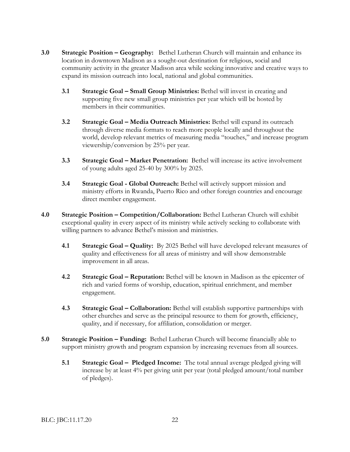- **3.0 Strategic Position – Geography:** Bethel Lutheran Church will maintain and enhance its location in downtown Madison as a sought-out destination for religious, social and community activity in the greater Madison area while seeking innovative and creative ways to expand its mission outreach into local, national and global communities.
	- **3.1 Strategic Goal – Small Group Ministries:** Bethel will invest in creating and supporting five new small group ministries per year which will be hosted by members in their communities.
	- **3.2 Strategic Goal – Media Outreach Ministries:** Bethel will expand its outreach through diverse media formats to reach more people locally and throughout the world, develop relevant metrics of measuring media "touches," and increase program viewership/conversion by 25% per year.
	- **3.3 Strategic Goal – Market Penetration:** Bethel will increase its active involvement of young adults aged 25-40 by 300% by 2025.
	- **3.4 Strategic Goal - Global Outreach:** Bethel will actively support mission and ministry efforts in Rwanda, Puerto Rico and other foreign countries and encourage direct member engagement.
- **4.0 Strategic Position – Competition/Collaboration:** Bethel Lutheran Church will exhibit exceptional quality in every aspect of its ministry while actively seeking to collaborate with willing partners to advance Bethel's mission and ministries.
	- **4.1 Strategic Goal – Quality:** By 2025 Bethel will have developed relevant measures of quality and effectiveness for all areas of ministry and will show demonstrable improvement in all areas.
	- **4.2 Strategic Goal – Reputation:** Bethel will be known in Madison as the epicenter of rich and varied forms of worship, education, spiritual enrichment, and member engagement.
	- **4.3 Strategic Goal – Collaboration:** Bethel will establish supportive partnerships with other churches and serve as the principal resource to them for growth, efficiency, quality, and if necessary, for affiliation, consolidation or merger.
- **5.0 Strategic Position – Funding:** Bethel Lutheran Church will become financially able to support ministry growth and program expansion by increasing revenues from all sources.
	- **5.1 Strategic Goal Pledged Income:** The total annual average pledged giving will increase by at least 4% per giving unit per year (total pledged amount/total number of pledges).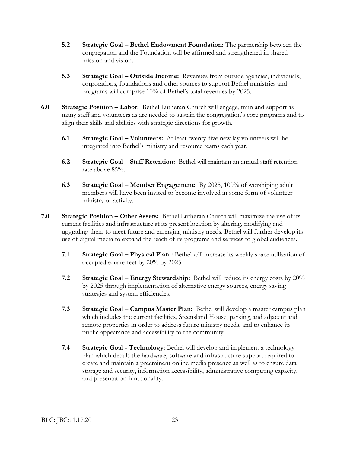- **5.2 Strategic Goal – Bethel Endowment Foundation:** The partnership between the congregation and the Foundation will be affirmed and strengthened in shared mission and vision.
- **5.3 Strategic Goal – Outside Income:** Revenues from outside agencies, individuals, corporations, foundations and other sources to support Bethel ministries and programs will comprise 10% of Bethel's total revenues by 2025.
- **6.0 Strategic Position – Labor:** Bethel Lutheran Church will engage, train and support as many staff and volunteers as are needed to sustain the congregation's core programs and to align their skills and abilities with strategic directions for growth.
	- **6.1 Strategic Goal – Volunteers:** At least twenty-five new lay volunteers will be integrated into Bethel's ministry and resource teams each year.
	- **6.2 Strategic Goal – Staff Retention:** Bethel will maintain an annual staff retention rate above 85%.
	- **6.3 Strategic Goal – Member Engagement:** By 2025, 100% of worshiping adult members will have been invited to become involved in some form of volunteer ministry or activity.
- **7.0 Strategic Position – Other Assets:** Bethel Lutheran Church will maximize the use of its current facilities and infrastructure at its present location by altering, modifying and upgrading them to meet future and emerging ministry needs. Bethel will further develop its use of digital media to expand the reach of its programs and services to global audiences.
	- **7.1 Strategic Goal – Physical Plant:** Bethel will increase its weekly space utilization of occupied square feet by 20% by 2025.
	- **7.2 Strategic Goal – Energy Stewardship:** Bethel will reduce its energy costs by 20% by 2025 through implementation of alternative energy sources, energy saving strategies and system efficiencies.
	- **7.3 Strategic Goal – Campus Master Plan:** Bethel will develop a master campus plan which includes the current facilities, Steensland House, parking, and adjacent and remote properties in order to address future ministry needs, and to enhance its public appearance and accessibility to the community.
	- **7.4 Strategic Goal - Technology:** Bethel will develop and implement a technology plan which details the hardware, software and infrastructure support required to create and maintain a preeminent online media presence as well as to ensure data storage and security, information accessibility, administrative computing capacity, and presentation functionality.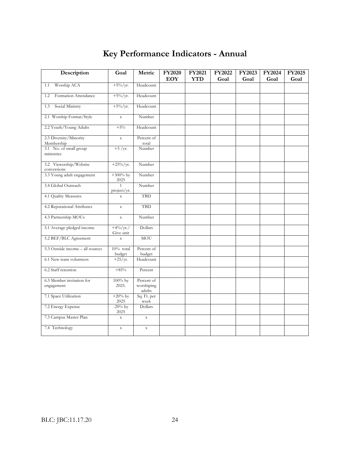# **Key Performance Indicators - Annual**

| Description                             | Goal                    | Metric                             | <b>FY2020</b><br><b>EOY</b> | FY2021<br><b>YTD</b> | FY2022<br>Goal | FY2023<br>Goal | FY2024<br>Goal | <b>FY2025</b><br>Goal |
|-----------------------------------------|-------------------------|------------------------------------|-----------------------------|----------------------|----------------|----------------|----------------|-----------------------|
| Worship ACA<br>1.1                      | $+5\%/yr.$              | Headcount                          |                             |                      |                |                |                |                       |
|                                         |                         |                                    |                             |                      |                |                |                |                       |
| Formation Attendance<br>1.2             | $+5\%/yr.$              | Headcount                          |                             |                      |                |                |                |                       |
| Social Ministry<br>1.3                  | $+5\%/yr.$              | Headcount                          |                             |                      |                |                |                |                       |
| 2.1 Worship Format/Style                | $\mathbf X$             | Number                             |                             |                      |                |                |                |                       |
| 2.2 Youth/Young Adults                  | $+5%$                   | Headcount                          |                             |                      |                |                |                |                       |
| 2.3 Diversity/Minority<br>Membership    | $\mathbf X$             | Percent of<br>total                |                             |                      |                |                |                |                       |
| 3.1 No. of small group<br>ministries    | $+5$ /yr.               | Number                             |                             |                      |                |                |                |                       |
| 3.2 Viewership/Website<br>conversions   | $+25\%$ /yr.            | Number                             |                             |                      |                |                |                |                       |
| 3.3 Young adult engagement              | $+300%$ by<br>2025      | Number                             |                             |                      |                |                |                |                       |
| 3.4 Global Outreach                     | project/yr.             | Number                             |                             |                      |                |                |                |                       |
| 4.1 Quality Measures                    | $\mathbf x$             | <b>TBD</b>                         |                             |                      |                |                |                |                       |
| 4.2 Reputational Attributes             | $\mathbf X$             | TBD                                |                             |                      |                |                |                |                       |
| 4.3 Partnership MOUs                    | $\mathbf X$             | Number                             |                             |                      |                |                |                |                       |
| 5.1 Average pledged income              | $+4\%/yr.$<br>Give unit | Dollars                            |                             |                      |                |                |                |                       |
| 5.2 BEF/BLC Agreement                   | $\bar{X}$               | MOU                                |                             |                      |                |                |                |                       |
| 5.3 Outside income - all sources        | $10\%$ total<br>budget  | Percent of<br>budget               |                             |                      |                |                |                |                       |
| 6.1 New team volunteers                 | $+25/yr.$               | Headcount                          |                             |                      |                |                |                |                       |
| 6.2 Staff retention                     | >85%                    | Percent                            |                             |                      |                |                |                |                       |
| 6.3 Member invitation for<br>engagement | $100\%$ by<br>2025.     | Percent of<br>worshiping<br>adults |                             |                      |                |                |                |                       |
| 7.1 Space Utilization                   | $+20%$ by<br>2025       | Sq. Ft. per<br>week                |                             |                      |                |                |                |                       |
| 7.2 Energy Expense                      | $-20\%$ by<br>2025      | Dollars                            |                             |                      |                |                |                |                       |
| 7.3 Campus Master Plan                  | $\mathbf x$             | $\mathbf X$                        |                             |                      |                |                |                |                       |
| 7.4 Technology                          | $\mathbf x$             | $\mathbf X$                        |                             |                      |                |                |                |                       |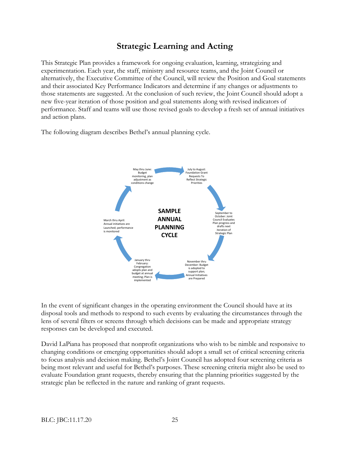# **Strategic Learning and Acting**

This Strategic Plan provides a framework for ongoing evaluation, learning, strategizing and experimentation. Each year, the staff, ministry and resource teams, and the Joint Council or alternatively, the Executive Committee of the Council, will review the Position and Goal statements and their associated Key Performance Indicators and determine if any changes or adjustments to those statements are suggested. At the conclusion of such review, the Joint Council should adopt a new five-year iteration of those position and goal statements along with revised indicators of performance. Staff and teams will use those revised goals to develop a fresh set of annual initiatives and action plans.

The following diagram describes Bethel's annual planning cycle.



In the event of significant changes in the operating environment the Council should have at its disposal tools and methods to respond to such events by evaluating the circumstances through the lens of several filters or screens through which decisions can be made and appropriate strategy responses can be developed and executed.

David LaPiana has proposed that nonprofit organizations who wish to be nimble and responsive to changing conditions or emerging opportunities should adopt a small set of critical screening criteria to focus analysis and decision making. Bethel's Joint Council has adopted four screening criteria as being most relevant and useful for Bethel's purposes. These screening criteria might also be used to evaluate Foundation grant requests, thereby ensuring that the planning priorities suggested by the strategic plan be reflected in the nature and ranking of grant requests.